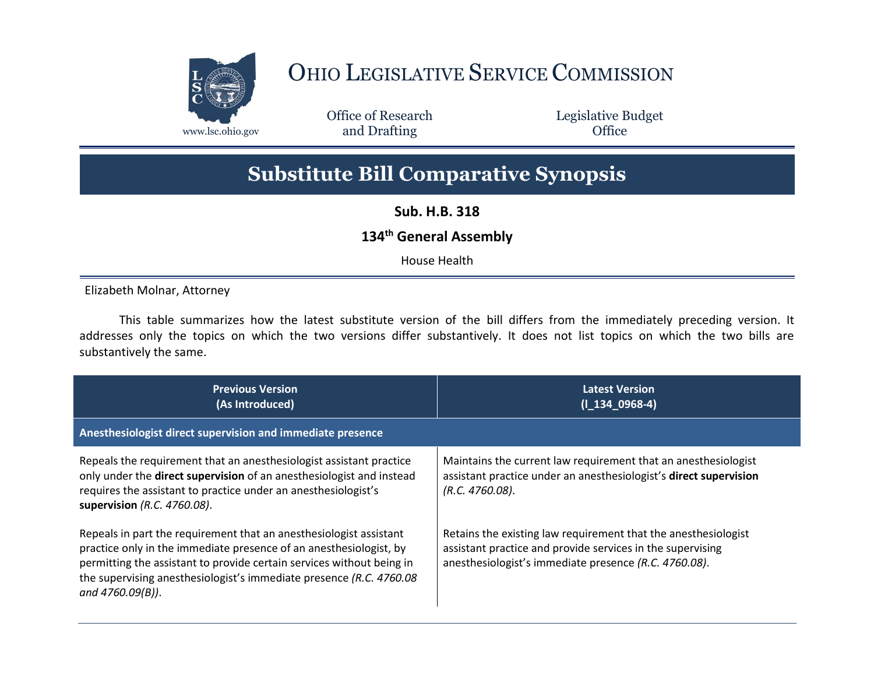

## OHIO LEGISLATIVE SERVICE COMMISSION

Office of Research www.lsc.ohio.gov **and Drafting Office** 

Legislative Budget

## **Substitute Bill Comparative Synopsis**

**Sub. H.B. 318**

## **134th General Assembly**

House Health

Elizabeth Molnar, Attorney

This table summarizes how the latest substitute version of the bill differs from the immediately preceding version. It addresses only the topics on which the two versions differ substantively. It does not list topics on which the two bills are substantively the same.

| <b>Previous Version</b><br>(As Introduced)                                                                                                                                                                                                                                                                   | <b>Latest Version</b><br>$(1\ 134\ 0968-4)$                                                                                                                                           |
|--------------------------------------------------------------------------------------------------------------------------------------------------------------------------------------------------------------------------------------------------------------------------------------------------------------|---------------------------------------------------------------------------------------------------------------------------------------------------------------------------------------|
| Anesthesiologist direct supervision and immediate presence                                                                                                                                                                                                                                                   |                                                                                                                                                                                       |
| Repeals the requirement that an anesthesiologist assistant practice<br>only under the direct supervision of an anesthesiologist and instead<br>requires the assistant to practice under an anesthesiologist's<br>supervision (R.C. 4760.08).                                                                 | Maintains the current law requirement that an anesthesiologist<br>assistant practice under an anesthesiologist's direct supervision<br>$(R.C. 4760.08)$ .                             |
| Repeals in part the requirement that an anesthesiologist assistant<br>practice only in the immediate presence of an anesthesiologist, by<br>permitting the assistant to provide certain services without being in<br>the supervising anesthesiologist's immediate presence (R.C. 4760.08<br>and 4760.09(B)). | Retains the existing law requirement that the anesthesiologist<br>assistant practice and provide services in the supervising<br>anesthesiologist's immediate presence (R.C. 4760.08). |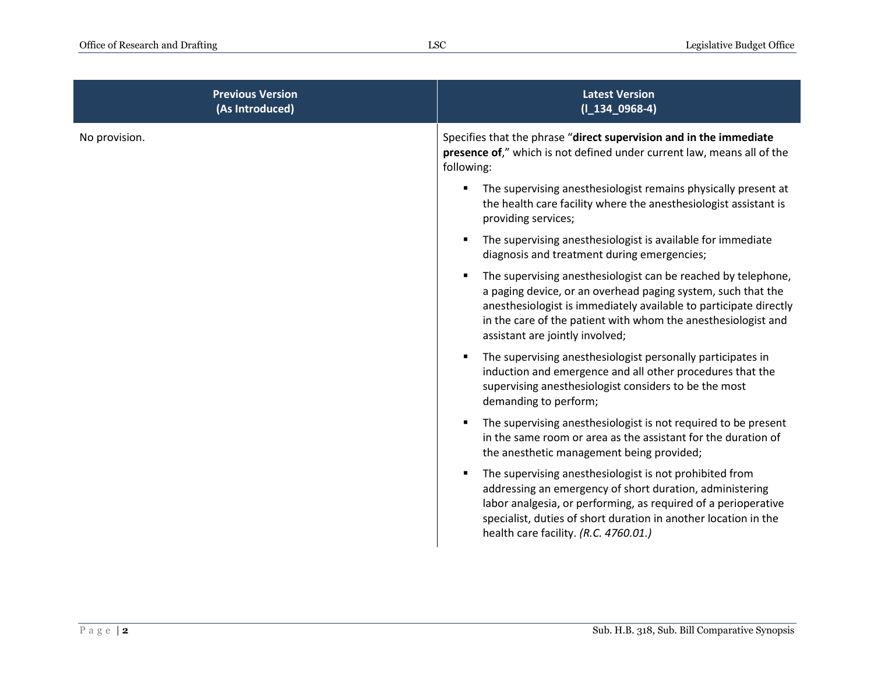| Specifies that the phrase "direct supervision and in the immediate<br>presence of," which is not defined under current law, means all of the                                                                                                                        |
|---------------------------------------------------------------------------------------------------------------------------------------------------------------------------------------------------------------------------------------------------------------------|
| The supervising anesthesiologist remains physically present at<br>the health care facility where the anesthesiologist assistant is                                                                                                                                  |
| The supervising anesthesiologist is available for immediate<br>diagnosis and treatment during emergencies;                                                                                                                                                          |
| The supervising anesthesiologist can be reached by telephone,<br>a paging device, or an overhead paging system, such that the<br>anesthesiologist is immediately available to participate directly<br>in the care of the patient with whom the anesthesiologist and |
| The supervising anesthesiologist personally participates in<br>induction and emergence and all other procedures that the<br>supervising anesthesiologist considers to be the most                                                                                   |
| The supervising anesthesiologist is not required to be present<br>in the same room or area as the assistant for the duration of<br>the anesthetic management being provided;                                                                                        |
| The supervising anesthesiologist is not prohibited from<br>addressing an emergency of short duration, administering<br>labor analgesia, or performing, as required of a perioperative<br>specialist, duties of short duration in another location in the            |
|                                                                                                                                                                                                                                                                     |